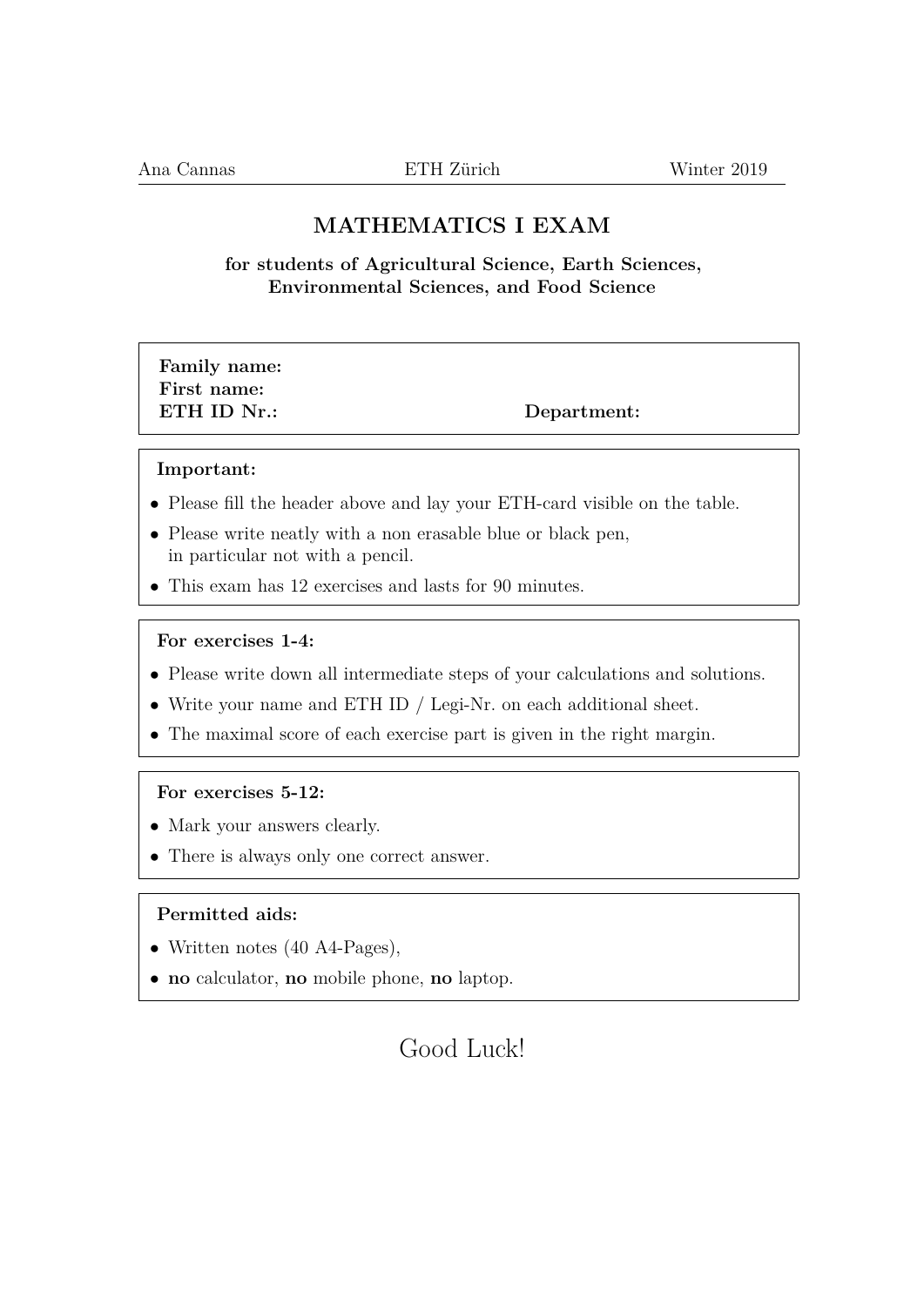## **MATHEMATICS I EXAM**

**for students of Agricultural Science, Earth Sciences, Environmental Sciences, and Food Science**

## **Family name: First name: ETH ID Nr.:** Department:

#### **Important:**

- Please fill the header above and lay your ETH-card visible on the table.
- Please write neatly with a non erasable blue or black pen, in particular not with a pencil.
- This exam has 12 exercises and lasts for 90 minutes.

#### **For exercises 1-4:**

- Please write down all intermediate steps of your calculations and solutions.
- Write your name and ETH ID / Legi-Nr. on each additional sheet.
- The maximal score of each exercise part is given in the right margin.

#### **For exercises 5-12:**

- Mark your answers clearly.
- There is always only one correct answer.

### **Permitted aids:**

- Written notes (40 A4-Pages),
- **no** calculator, **no** mobile phone, **no** laptop.

# Good Luck!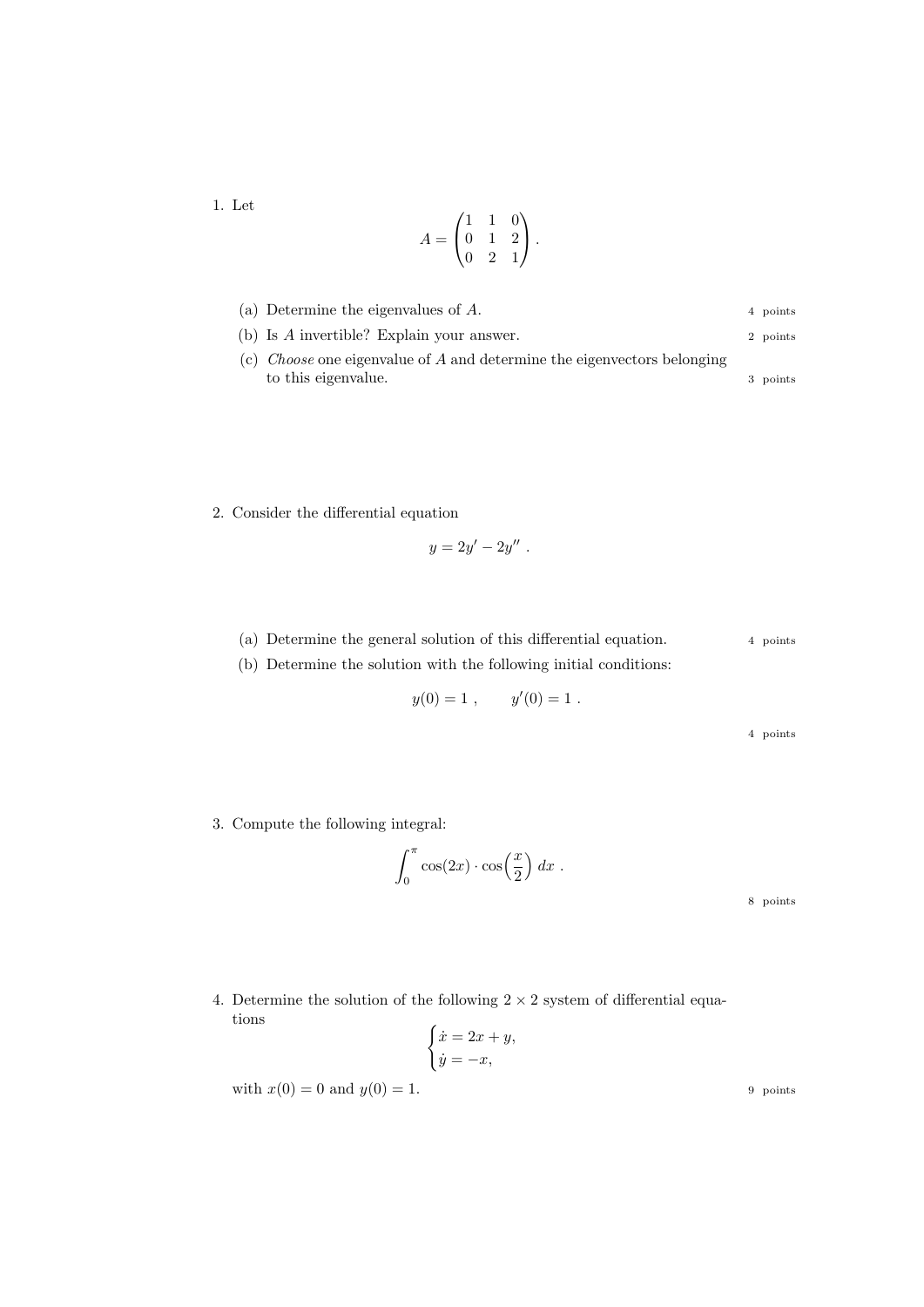1. Let

$$
A = \begin{pmatrix} 1 & 1 & 0 \\ 0 & 1 & 2 \\ 0 & 2 & 1 \end{pmatrix}.
$$

| (a) Determine the eigenvalues of $A$ .                                           | 4 points |
|----------------------------------------------------------------------------------|----------|
| (b) Is $A$ invertible? Explain your answer.                                      | 2 points |
| (c) <i>Choose</i> one eigenvalue of $A$ and determine the eigenvectors belonging |          |
| to this eigenvalue.                                                              | 3 points |

2. Consider the differential equation

$$
y=2y'-2y''.
$$

(a) Determine the general solution of this differential equation. 4 points (b) Determine the solution with the following initial conditions:

$$
y(0) = 1
$$
,  $y'(0) = 1$ .

4 points

3. Compute the following integral:

$$
\int_0^\pi \cos(2x) \cdot \cos\left(\frac{x}{2}\right) dx .
$$

8 points

4. Determine the solution of the following  $2 \times 2$  system of differential equations  $\epsilon$ 

$$
\begin{cases} \dot{x} = 2x + y, \\ \dot{y} = -x, \end{cases}
$$

with  $x(0) = 0$  and  $y(0) = 1$ . 9 points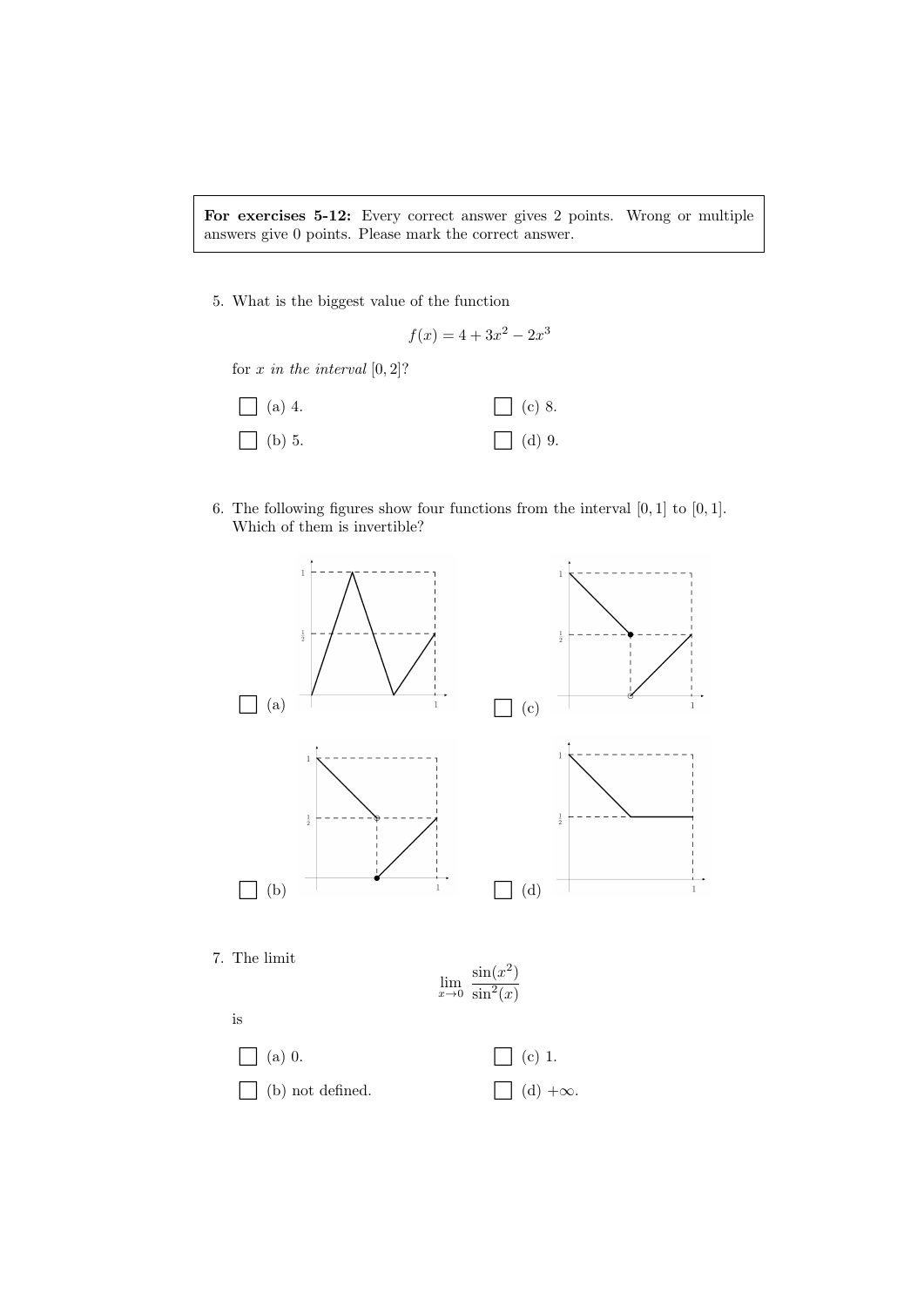For exercises 5-12: Every correct answer gives 2 points. Wrong or multiple answers give 0 points. Please mark the correct answer.

5. What is the biggest value of the function

$$
f(x) = 4 + 3x^2 - 2x^3
$$

for  $x$  in the interval  $[0, 2]$ ?



6. The following figures show four functions from the interval  $[0, 1]$  to  $[0, 1]$ . Which of them is invertible?

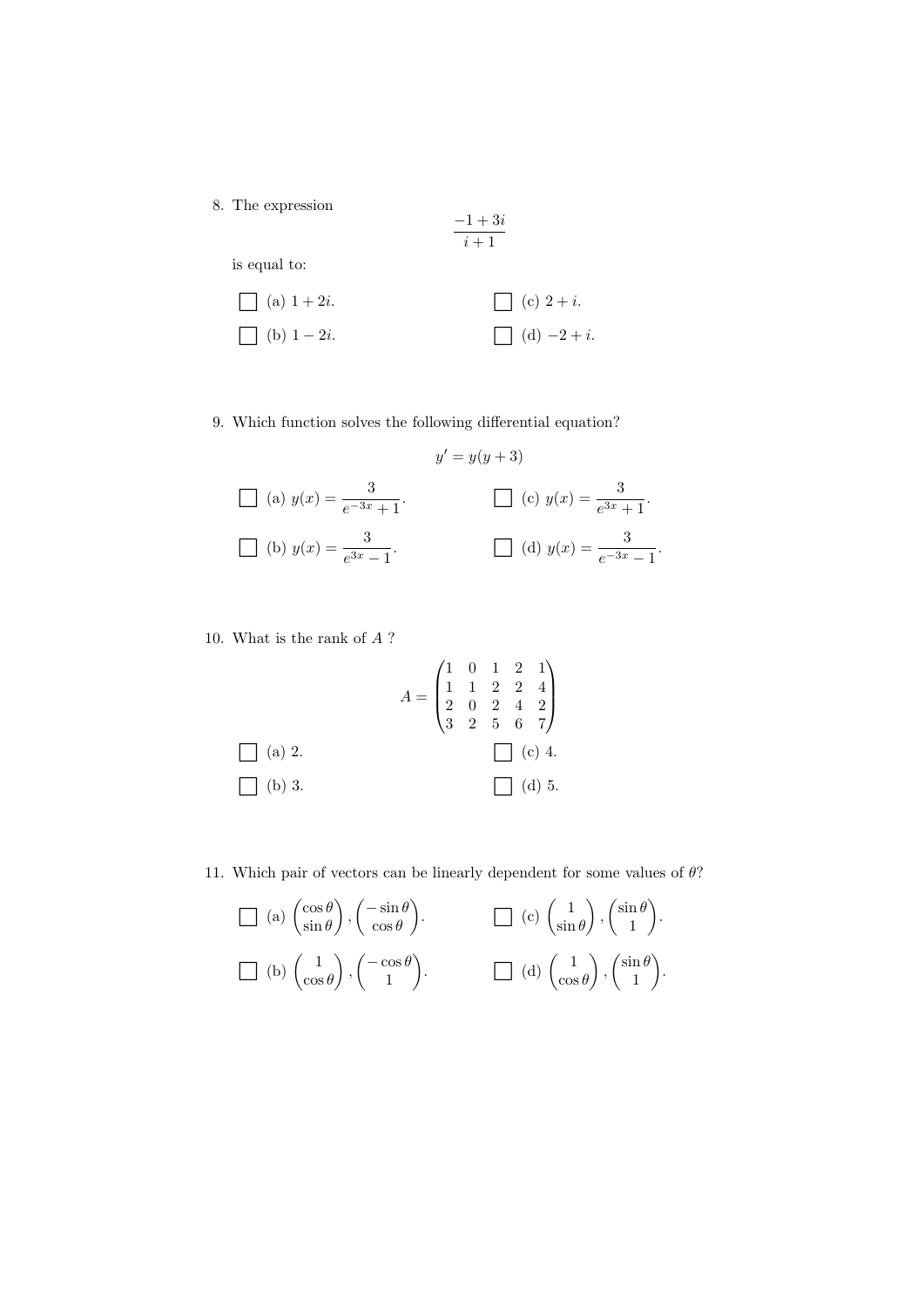8. The expression

$$
\frac{-1+3i}{i+1}
$$

is equal to:

(a) 
$$
1 + 2i
$$
.  
\n(b)  $1 - 2i$ .  
\n(c)  $2 + i$ .  
\n(d)  $-2 + i$ .

9. Which function solves the following differential equation?

$$
y' = y(y+3)
$$
  
\n(a)  $y(x) = \frac{3}{e^{-3x} + 1}$ .  
\n(b)  $y(x) = \frac{3}{e^{3x} - 1}$ .  
\n(c)  $y(x) = \frac{3}{e^{3x} + 1}$ .  
\n(d)  $y(x) = \frac{3}{e^{-3x} - 1}$ .

10. What is the rank of A ?

$$
A = \begin{pmatrix} 1 & 0 & 1 & 2 & 1 \\ 1 & 1 & 2 & 2 & 4 \\ 2 & 0 & 2 & 4 & 2 \\ 3 & 2 & 5 & 6 & 7 \end{pmatrix}
$$
  
\n(a) 2.  
\n(b) 3.  
\n
$$
\begin{bmatrix} (a) 3. \end{bmatrix}
$$

11. Which pair of vectors can be linearly dependent for some values of  $\theta$ ?

$$
\Box \text{ (a) } \begin{pmatrix} \cos \theta \\ \sin \theta \end{pmatrix}, \begin{pmatrix} -\sin \theta \\ \cos \theta \end{pmatrix}.
$$
\n
$$
\Box \text{ (c) } \begin{pmatrix} 1 \\ \sin \theta \end{pmatrix}, \begin{pmatrix} \sin \theta \\ 1 \end{pmatrix}.
$$
\n
$$
\Box \text{ (b) } \begin{pmatrix} 1 \\ \cos \theta \end{pmatrix}, \begin{pmatrix} -\cos \theta \\ 1 \end{pmatrix}.
$$
\n
$$
\Box \text{ (d) } \begin{pmatrix} 1 \\ \cos \theta \end{pmatrix}, \begin{pmatrix} \sin \theta \\ 1 \end{pmatrix}.
$$